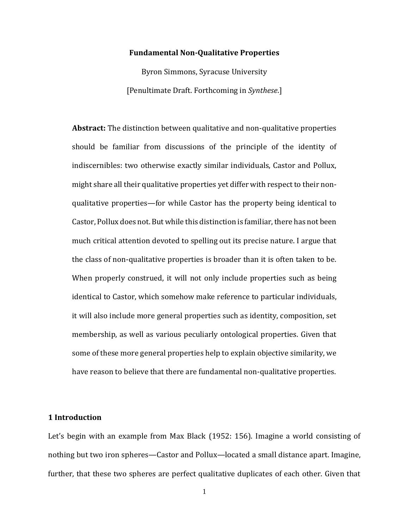### **Fundamental Non-Qualitative Properties**

Byron Simmons, Syracuse University [Penultimate Draft. Forthcoming in *Synthese*.]

**Abstract:** The distinction between qualitative and non-qualitative properties should be familiar from discussions of the principle of the identity of indiscernibles: two otherwise exactly similar individuals, Castor and Pollux, might share all their qualitative properties yet differ with respect to their nonqualitative properties—for while Castor has the property being identical to Castor, Pollux does not. But while this distinction is familiar, there has not been much critical attention devoted to spelling out its precise nature. I argue that the class of non-qualitative properties is broader than it is often taken to be. When properly construed, it will not only include properties such as being identical to Castor, which somehow make reference to particular individuals, it will also include more general properties such as identity, composition, set membership, as well as various peculiarly ontological properties. Given that some of these more general properties help to explain objective similarity, we have reason to believe that there are fundamental non-qualitative properties.

### **1 Introduction**

Let's begin with an example from Max Black (1952: 156). Imagine a world consisting of nothing but two iron spheres—Castor and Pollux—located a small distance apart. Imagine, further, that these two spheres are perfect qualitative duplicates of each other. Given that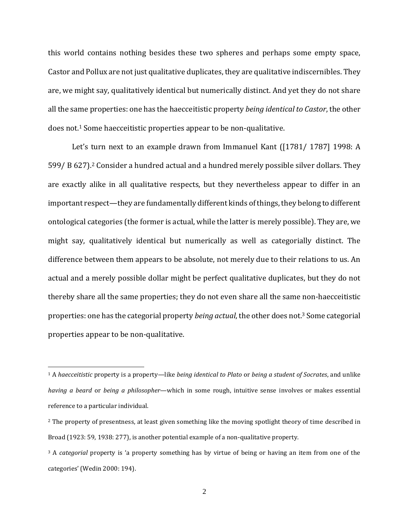this world contains nothing besides these two spheres and perhaps some empty space, Castor and Pollux are not just qualitative duplicates, they are qualitative indiscernibles. They are, we might say, qualitatively identical but numerically distinct. And yet they do not share all the same properties: one has the haecceitistic property *being identical to Castor*, the other does not.<sup>1</sup> Some haecceitistic properties appear to be non-qualitative.

Let's turn next to an example drawn from Immanuel Kant ([1781/ 1787] 1998: A 599/ B 627). <sup>2</sup> Consider a hundred actual and a hundred merely possible silver dollars. They are exactly alike in all qualitative respects, but they nevertheless appear to differ in an important respect—they are fundamentally different kinds of things, they belong to different ontological categories (the former is actual, while the latter is merely possible). They are, we might say, qualitatively identical but numerically as well as categorially distinct. The difference between them appears to be absolute, not merely due to their relations to us. An actual and a merely possible dollar might be perfect qualitative duplicates, but they do not thereby share all the same properties; they do not even share all the same non-haecceitistic properties: one has the categorial property *being actual*, the other does not.<sup>3</sup> Some categorial properties appear to be non-qualitative.

<sup>1</sup> A *haecceitistic* property is a property—like *being identical to Plato* or *being a student of Socrates*, and unlike *having a beard* or *being a philosopher*—which in some rough, intuitive sense involves or makes essential reference to a particular individual.

<sup>&</sup>lt;sup>2</sup> The property of presentness, at least given something like the moving spotlight theory of time described in Broad (1923: 59, 1938: 277), is another potential example of a non-qualitative property.

<sup>3</sup> A *categorial* property is 'a property something has by virtue of being or having an item from one of the categories' (Wedin 2000: 194).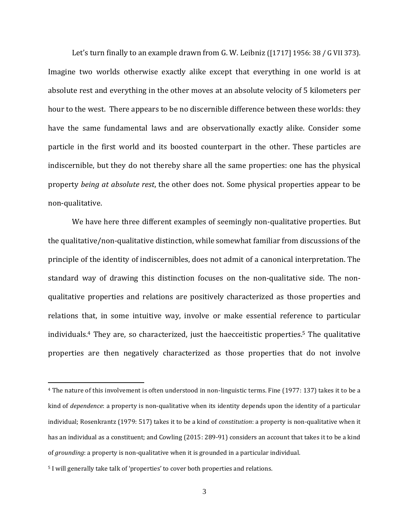Let's turn finally to an example drawn from G. W. Leibniz ([1717] 1956: 38 / G VII 373). Imagine two worlds otherwise exactly alike except that everything in one world is at absolute rest and everything in the other moves at an absolute velocity of 5 kilometers per hour to the west. There appears to be no discernible difference between these worlds: they have the same fundamental laws and are observationally exactly alike. Consider some particle in the first world and its boosted counterpart in the other. These particles are indiscernible, but they do not thereby share all the same properties: one has the physical property *being at absolute rest*, the other does not. Some physical properties appear to be non-qualitative.

We have here three different examples of seemingly non-qualitative properties. But the qualitative/non-qualitative distinction, while somewhat familiar from discussions of the principle of the identity of indiscernibles, does not admit of a canonical interpretation. The standard way of drawing this distinction focuses on the non-qualitative side. The nonqualitative properties and relations are positively characterized as those properties and relations that, in some intuitive way, involve or make essential reference to particular individuals.<sup>4</sup> They are, so characterized, just the haecceitistic properties.<sup>5</sup> The qualitative properties are then negatively characterized as those properties that do not involve

<sup>4</sup> The nature of this involvement is often understood in non-linguistic terms. Fine (1977: 137) takes it to be a kind of *dependence*: a property is non-qualitative when its identity depends upon the identity of a particular individual; Rosenkrantz (1979: 517) takes it to be a kind of *constitution*: a property is non-qualitative when it has an individual as a constituent; and Cowling (2015: 289-91) considers an account that takes it to be a kind of *grounding*: a property is non-qualitative when it is grounded in a particular individual.

<sup>5</sup> I will generally take talk of 'properties' to cover both properties and relations.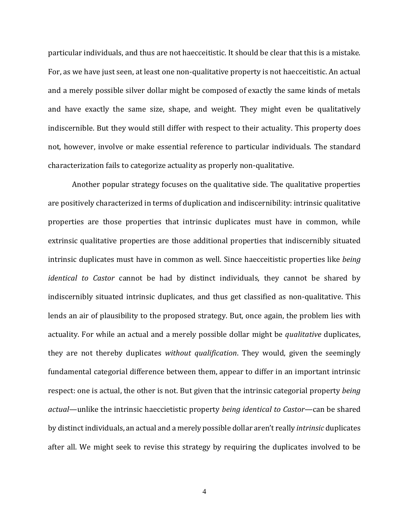particular individuals, and thus are not haecceitistic. It should be clear that this is a mistake. For, as we have just seen, at least one non-qualitative property is not haecceitistic. An actual and a merely possible silver dollar might be composed of exactly the same kinds of metals and have exactly the same size, shape, and weight. They might even be qualitatively indiscernible. But they would still differ with respect to their actuality. This property does not, however, involve or make essential reference to particular individuals. The standard characterization fails to categorize actuality as properly non-qualitative.

Another popular strategy focuses on the qualitative side. The qualitative properties are positively characterized in terms of duplication and indiscernibility: intrinsic qualitative properties are those properties that intrinsic duplicates must have in common, while extrinsic qualitative properties are those additional properties that indiscernibly situated intrinsic duplicates must have in common as well. Since haecceitistic properties like *being identical to Castor* cannot be had by distinct individuals, they cannot be shared by indiscernibly situated intrinsic duplicates, and thus get classified as non-qualitative. This lends an air of plausibility to the proposed strategy. But, once again, the problem lies with actuality. For while an actual and a merely possible dollar might be *qualitative* duplicates, they are not thereby duplicates *without qualification*. They would, given the seemingly fundamental categorial difference between them, appear to differ in an important intrinsic respect: one is actual, the other is not. But given that the intrinsic categorial property *being actual*—unlike the intrinsic haeccietistic property *being identical to Castor*—can be shared by distinct individuals, an actual and a merely possible dollar aren't really *intrinsic* duplicates after all. We might seek to revise this strategy by requiring the duplicates involved to be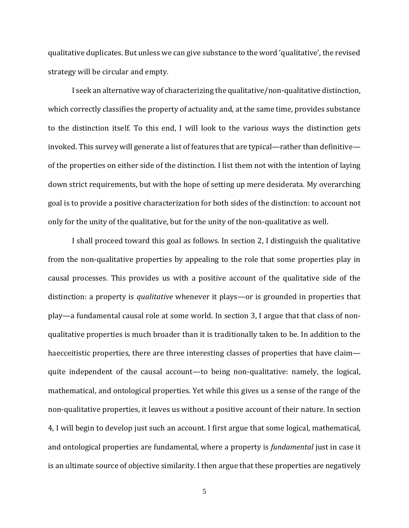qualitative duplicates. But unless we can give substance to the word 'qualitative', the revised strategy will be circular and empty.

I seek an alternative way of characterizing the qualitative/non-qualitative distinction, which correctly classifies the property of actuality and, at the same time, provides substance to the distinction itself. To this end, I will look to the various ways the distinction gets invoked. This survey will generate a list of features that are typical—rather than definitive of the properties on either side of the distinction. I list them not with the intention of laying down strict requirements, but with the hope of setting up mere desiderata. My overarching goal is to provide a positive characterization for both sides of the distinction: to account not only for the unity of the qualitative, but for the unity of the non-qualitative as well.

I shall proceed toward this goal as follows. In section 2, I distinguish the qualitative from the non-qualitative properties by appealing to the role that some properties play in causal processes. This provides us with a positive account of the qualitative side of the distinction: a property is *qualitative* whenever it plays—or is grounded in properties that play—a fundamental causal role at some world. In section 3, I argue that that class of nonqualitative properties is much broader than it is traditionally taken to be. In addition to the haecceitistic properties, there are three interesting classes of properties that have claim quite independent of the causal account—to being non-qualitative: namely, the logical, mathematical, and ontological properties. Yet while this gives us a sense of the range of the non-qualitative properties, it leaves us without a positive account of their nature. In section 4, I will begin to develop just such an account. I first argue that some logical, mathematical, and ontological properties are fundamental, where a property is *fundamental* just in case it is an ultimate source of objective similarity. I then argue that these properties are negatively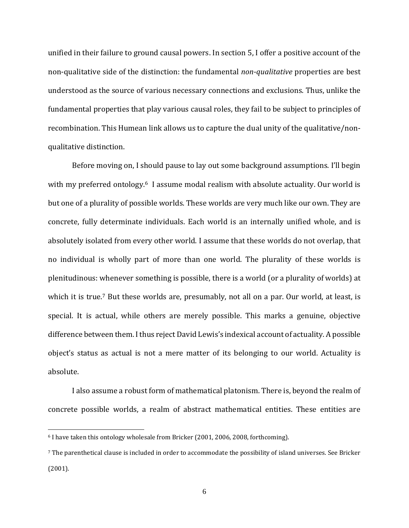unified in their failure to ground causal powers. In section 5, I offer a positive account of the non-qualitative side of the distinction: the fundamental *non-qualitative* properties are best understood as the source of various necessary connections and exclusions. Thus, unlike the fundamental properties that play various causal roles, they fail to be subject to principles of recombination. This Humean link allows us to capture the dual unity of the qualitative/nonqualitative distinction.

Before moving on, I should pause to lay out some background assumptions. I'll begin with my preferred ontology.<sup>6</sup> I assume modal realism with absolute actuality. Our world is but one of a plurality of possible worlds. These worlds are very much like our own. They are concrete, fully determinate individuals. Each world is an internally unified whole, and is absolutely isolated from every other world. I assume that these worlds do not overlap, that no individual is wholly part of more than one world. The plurality of these worlds is plenitudinous: whenever something is possible, there is a world (or a plurality of worlds) at which it is true.<sup>7</sup> But these worlds are, presumably, not all on a par. Our world, at least, is special. It is actual, while others are merely possible. This marks a genuine, objective difference between them. I thus reject David Lewis's indexical account of actuality. A possible object's status as actual is not a mere matter of its belonging to our world. Actuality is absolute.

I also assume a robust form of mathematical platonism. There is, beyond the realm of concrete possible worlds, a realm of abstract mathematical entities. These entities are

<sup>6</sup> I have taken this ontology wholesale from Bricker (2001, 2006, 2008, forthcoming).

<sup>7</sup> The parenthetical clause is included in order to accommodate the possibility of island universes. See Bricker (2001).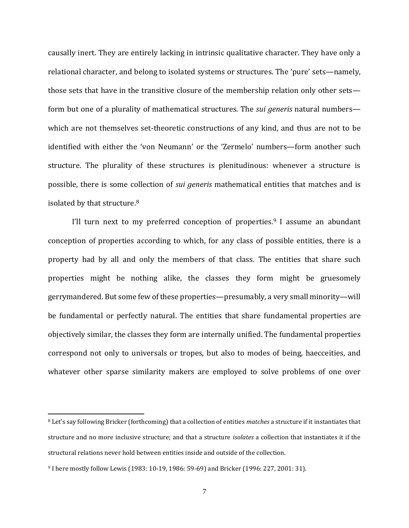causally inert. They are entirely lacking in intrinsic qualitative character. They have only a relational character, and belong to isolated systems or structures. The 'pure' sets—namely, those sets that have in the transitive closure of the membership relation only other sets form but one of a plurality of mathematical structures. The *sui generis* natural numbers which are not themselves set-theoretic constructions of any kind, and thus are not to be identified with either the 'von Neumann' or the 'Zermelo' numbers—form another such structure. The plurality of these structures is plenitudinous: whenever a structure is possible, there is some collection of *sui generis* mathematical entities that matches and is isolated by that structure.<sup>8</sup>

I'll turn next to my preferred conception of properties.<sup>9</sup> I assume an abundant conception of properties according to which, for any class of possible entities, there is a property had by all and only the members of that class. The entities that share such properties might be nothing alike, the classes they form might be gruesomely gerrymandered. But some few of these properties—presumably, a very small minority—will be fundamental or perfectly natural. The entities that share fundamental properties are objectively similar, the classes they form are internally unified. The fundamental properties correspond not only to universals or tropes, but also to modes of being, haecceities, and whatever other sparse similarity makers are employed to solve problems of one over

<sup>8</sup> Let's say following Bricker (forthcoming) that a collection of entities *matches* a structure if it instantiates that structure and no more inclusive structure; and that a structure *isolates* a collection that instantiates it if the structural relations never hold between entities inside and outside of the collection.

<sup>9</sup> I here mostly follow Lewis (1983: 10-19, 1986: 59-69) and Bricker (1996: 227, 2001: 31).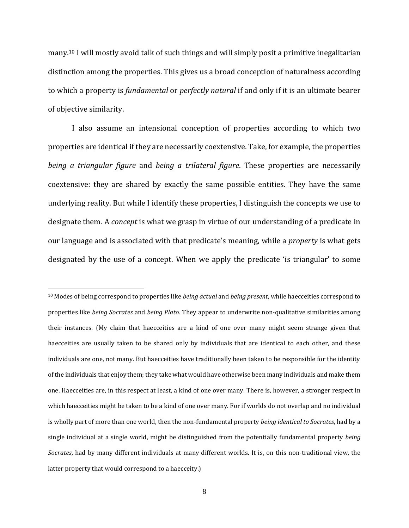many.<sup>10</sup> I will mostly avoid talk of such things and will simply posit a primitive inegalitarian distinction among the properties. This gives us a broad conception of naturalness according to which a property is *fundamental* or *perfectly natural* if and only if it is an ultimate bearer of objective similarity.

I also assume an intensional conception of properties according to which two properties are identical if they are necessarily coextensive. Take, for example, the properties *being a triangular figure* and *being a trilateral figure*. These properties are necessarily coextensive: they are shared by exactly the same possible entities. They have the same underlying reality. But while I identify these properties, I distinguish the concepts we use to designate them. A *concept* is what we grasp in virtue of our understanding of a predicate in our language and is associated with that predicate's meaning, while a *property* is what gets designated by the use of a concept. When we apply the predicate 'is triangular' to some

<sup>10</sup> Modes of being correspond to properties like *being actual* and *being present*, while haecceities correspond to properties like *being Socrates* and *being Plato*. They appear to underwrite non-qualitative similarities among their instances. (My claim that haecceities are a kind of one over many might seem strange given that haecceities are usually taken to be shared only by individuals that are identical to each other, and these individuals are one, not many. But haecceities have traditionally been taken to be responsible for the identity of the individuals that enjoy them; they take what would have otherwise been many individuals and make them one. Haecceities are, in this respect at least, a kind of one over many. There is, however, a stronger respect in which haecceities might be taken to be a kind of one over many. For if worlds do not overlap and no individual is wholly part of more than one world, then the non-fundamental property *being identical to Socrates*, had by a single individual at a single world, might be distinguished from the potentially fundamental property *being Socrates*, had by many different individuals at many different worlds. It is, on this non-traditional view, the latter property that would correspond to a haecceity.)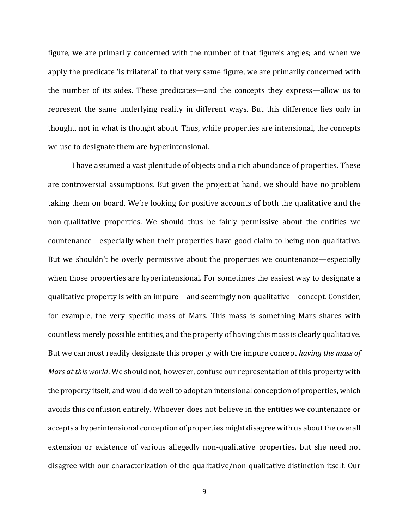figure, we are primarily concerned with the number of that figure's angles; and when we apply the predicate 'is trilateral' to that very same figure, we are primarily concerned with the number of its sides. These predicates—and the concepts they express—allow us to represent the same underlying reality in different ways. But this difference lies only in thought, not in what is thought about. Thus, while properties are intensional, the concepts we use to designate them are hyperintensional.

I have assumed a vast plenitude of objects and a rich abundance of properties. These are controversial assumptions. But given the project at hand, we should have no problem taking them on board. We're looking for positive accounts of both the qualitative and the non-qualitative properties. We should thus be fairly permissive about the entities we countenance—especially when their properties have good claim to being non-qualitative. But we shouldn't be overly permissive about the properties we countenance—especially when those properties are hyperintensional. For sometimes the easiest way to designate a qualitative property is with an impure—and seemingly non-qualitative—concept. Consider, for example, the very specific mass of Mars. This mass is something Mars shares with countless merely possible entities, and the property of having this mass is clearly qualitative. But we can most readily designate this property with the impure concept *having the mass of Mars at this world*. We should not, however, confuse our representation of this property with the property itself, and would do well to adopt an intensional conception of properties, which avoids this confusion entirely. Whoever does not believe in the entities we countenance or accepts a hyperintensional conception of properties might disagree with us about the overall extension or existence of various allegedly non-qualitative properties, but she need not disagree with our characterization of the qualitative/non-qualitative distinction itself. Our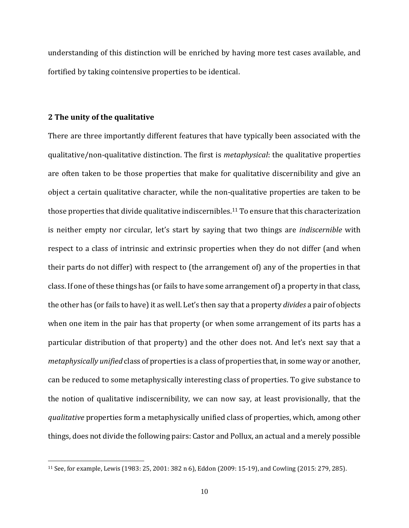understanding of this distinction will be enriched by having more test cases available, and fortified by taking cointensive properties to be identical.

# **2 The unity of the qualitative**

There are three importantly different features that have typically been associated with the qualitative/non-qualitative distinction. The first is *metaphysical*: the qualitative properties are often taken to be those properties that make for qualitative discernibility and give an object a certain qualitative character, while the non-qualitative properties are taken to be those properties that divide qualitative indiscernibles.<sup>11</sup> To ensure that this characterization is neither empty nor circular, let's start by saying that two things are *indiscernible* with respect to a class of intrinsic and extrinsic properties when they do not differ (and when their parts do not differ) with respect to (the arrangement of) any of the properties in that class. If one of these things has (or fails to have some arrangement of) a property in that class, the other has (or fails to have) it as well. Let's then say that a property *divides* a pair of objects when one item in the pair has that property (or when some arrangement of its parts has a particular distribution of that property) and the other does not. And let's next say that a *metaphysically unified* class of properties is a class of properties that, in some way or another, can be reduced to some metaphysically interesting class of properties. To give substance to the notion of qualitative indiscernibility, we can now say, at least provisionally, that the *qualitative* properties form a metaphysically unified class of properties, which, among other things, does not divide the following pairs: Castor and Pollux, an actual and a merely possible

<sup>11</sup> See, for example, Lewis (1983: 25, 2001: 382 n 6), Eddon (2009: 15-19), and Cowling (2015: 279, 285).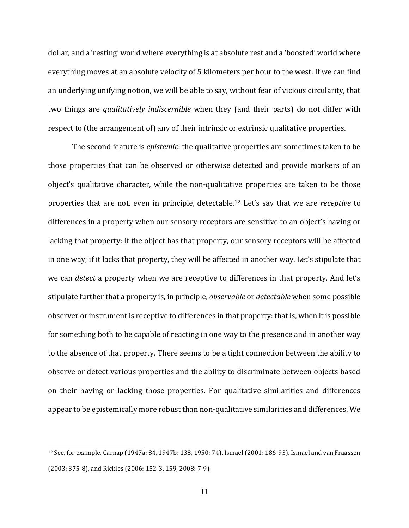dollar, and a 'resting' world where everything is at absolute rest and a 'boosted' world where everything moves at an absolute velocity of 5 kilometers per hour to the west. If we can find an underlying unifying notion, we will be able to say, without fear of vicious circularity, that two things are *qualitatively indiscernible* when they (and their parts) do not differ with respect to (the arrangement of) any of their intrinsic or extrinsic qualitative properties.

The second feature is *epistemic*: the qualitative properties are sometimes taken to be those properties that can be observed or otherwise detected and provide markers of an object's qualitative character, while the non-qualitative properties are taken to be those properties that are not, even in principle, detectable.<sup>12</sup> Let's say that we are *receptive* to differences in a property when our sensory receptors are sensitive to an object's having or lacking that property: if the object has that property, our sensory receptors will be affected in one way; if it lacks that property, they will be affected in another way. Let's stipulate that we can *detect* a property when we are receptive to differences in that property. And let's stipulate further that a property is, in principle, *observable* or *detectable* when some possible observer or instrument is receptive to differences in that property: that is, when it is possible for something both to be capable of reacting in one way to the presence and in another way to the absence of that property. There seems to be a tight connection between the ability to observe or detect various properties and the ability to discriminate between objects based on their having or lacking those properties. For qualitative similarities and differences appear to be epistemically more robust than non-qualitative similarities and differences. We

<sup>12</sup> See, for example, Carnap (1947a: 84, 1947b: 138, 1950: 74), Ismael (2001: 186-93), Ismael and van Fraassen (2003: 375-8), and Rickles (2006: 152-3, 159, 2008: 7-9).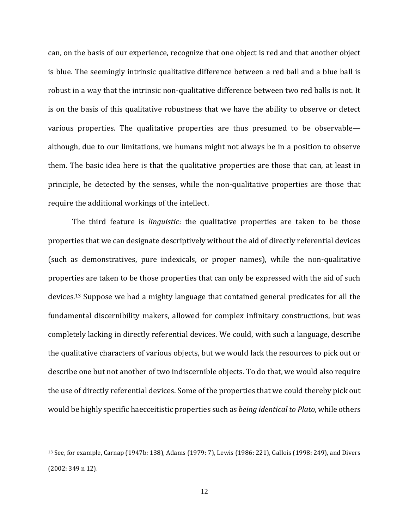can, on the basis of our experience, recognize that one object is red and that another object is blue. The seemingly intrinsic qualitative difference between a red ball and a blue ball is robust in a way that the intrinsic non-qualitative difference between two red balls is not. It is on the basis of this qualitative robustness that we have the ability to observe or detect various properties. The qualitative properties are thus presumed to be observable although, due to our limitations, we humans might not always be in a position to observe them. The basic idea here is that the qualitative properties are those that can, at least in principle, be detected by the senses, while the non-qualitative properties are those that require the additional workings of the intellect.

The third feature is *linguistic*: the qualitative properties are taken to be those properties that we can designate descriptively without the aid of directly referential devices (such as demonstratives, pure indexicals, or proper names), while the non-qualitative properties are taken to be those properties that can only be expressed with the aid of such devices.<sup>13</sup> Suppose we had a mighty language that contained general predicates for all the fundamental discernibility makers, allowed for complex infinitary constructions, but was completely lacking in directly referential devices. We could, with such a language, describe the qualitative characters of various objects, but we would lack the resources to pick out or describe one but not another of two indiscernible objects. To do that, we would also require the use of directly referential devices. Some of the properties that we could thereby pick out would be highly specific haecceitistic properties such as *being identical to Plato*, while others

<sup>13</sup> See, for example, Carnap (1947b: 138), Adams (1979: 7), Lewis (1986: 221), Gallois (1998: 249), and Divers (2002: 349 n 12).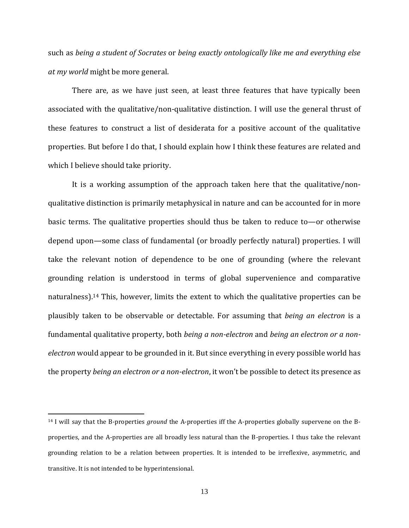such as *being a student of Socrates* or *being exactly ontologically like me and everything else at my world* might be more general.

There are, as we have just seen, at least three features that have typically been associated with the qualitative/non-qualitative distinction. I will use the general thrust of these features to construct a list of desiderata for a positive account of the qualitative properties. But before I do that, I should explain how I think these features are related and which I believe should take priority.

It is a working assumption of the approach taken here that the qualitative/nonqualitative distinction is primarily metaphysical in nature and can be accounted for in more basic terms. The qualitative properties should thus be taken to reduce to—or otherwise depend upon—some class of fundamental (or broadly perfectly natural) properties. I will take the relevant notion of dependence to be one of grounding (where the relevant grounding relation is understood in terms of global supervenience and comparative naturalness).<sup>14</sup> This, however, limits the extent to which the qualitative properties can be plausibly taken to be observable or detectable. For assuming that *being an electron* is a fundamental qualitative property, both *being a non-electron* and *being an electron or a nonelectron* would appear to be grounded in it. But since everything in every possible world has the property *being an electron or a non-electron*, it won't be possible to detect its presence as

<sup>14</sup> I will say that the B-properties *ground* the A-properties iff the A-properties globally supervene on the Bproperties, and the A-properties are all broadly less natural than the B-properties. I thus take the relevant grounding relation to be a relation between properties. It is intended to be irreflexive, asymmetric, and transitive. It is not intended to be hyperintensional.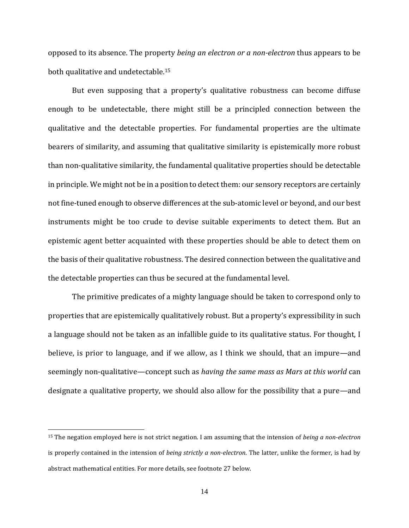opposed to its absence. The property *being an electron or a non-electron* thus appears to be both qualitative and undetectable.<sup>15</sup>

But even supposing that a property's qualitative robustness can become diffuse enough to be undetectable, there might still be a principled connection between the qualitative and the detectable properties. For fundamental properties are the ultimate bearers of similarity, and assuming that qualitative similarity is epistemically more robust than non-qualitative similarity, the fundamental qualitative properties should be detectable in principle. We might not be in a position to detect them: our sensory receptors are certainly not fine-tuned enough to observe differences at the sub-atomic level or beyond, and our best instruments might be too crude to devise suitable experiments to detect them. But an epistemic agent better acquainted with these properties should be able to detect them on the basis of their qualitative robustness. The desired connection between the qualitative and the detectable properties can thus be secured at the fundamental level.

The primitive predicates of a mighty language should be taken to correspond only to properties that are epistemically qualitatively robust. But a property's expressibility in such a language should not be taken as an infallible guide to its qualitative status. For thought, I believe, is prior to language, and if we allow, as I think we should, that an impure—and seemingly non-qualitative—concept such as *having the same mass as Mars at this world* can designate a qualitative property, we should also allow for the possibility that a pure—and

<sup>15</sup> The negation employed here is not strict negation. I am assuming that the intension of *being a non-electron* is properly contained in the intension of *being strictly a non-electron*. The latter, unlike the former, is had by abstract mathematical entities. For more details, see footnote 27 below.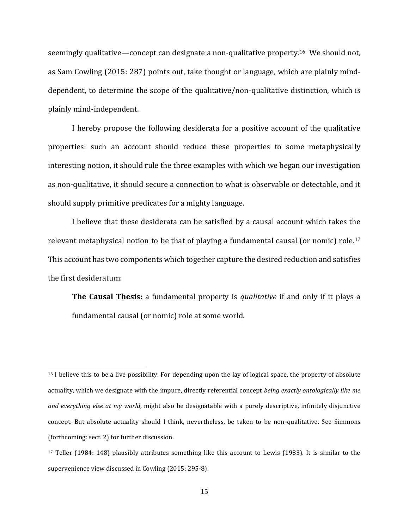seemingly qualitative—concept can designate a non-qualitative property.<sup>16</sup> We should not, as Sam Cowling (2015: 287) points out, take thought or language, which are plainly minddependent, to determine the scope of the qualitative/non-qualitative distinction, which is plainly mind-independent.

I hereby propose the following desiderata for a positive account of the qualitative properties: such an account should reduce these properties to some metaphysically interesting notion, it should rule the three examples with which we began our investigation as non-qualitative, it should secure a connection to what is observable or detectable, and it should supply primitive predicates for a mighty language.

I believe that these desiderata can be satisfied by a causal account which takes the relevant metaphysical notion to be that of playing a fundamental causal (or nomic) role.<sup>17</sup> This account has two components which together capture the desired reduction and satisfies the first desideratum:

**The Causal Thesis:** a fundamental property is *qualitative* if and only if it plays a fundamental causal (or nomic) role at some world.

<sup>&</sup>lt;sup>16</sup> I believe this to be a live possibility. For depending upon the lay of logical space, the property of absolute actuality, which we designate with the impure, directly referential concept *being exactly ontologically like me and everything else at my world*, might also be designatable with a purely descriptive, infinitely disjunctive concept. But absolute actuality should I think, nevertheless, be taken to be non-qualitative. See Simmons (forthcoming: sect. 2) for further discussion.

<sup>17</sup> Teller (1984: 148) plausibly attributes something like this account to Lewis (1983). It is similar to the supervenience view discussed in Cowling (2015: 295-8).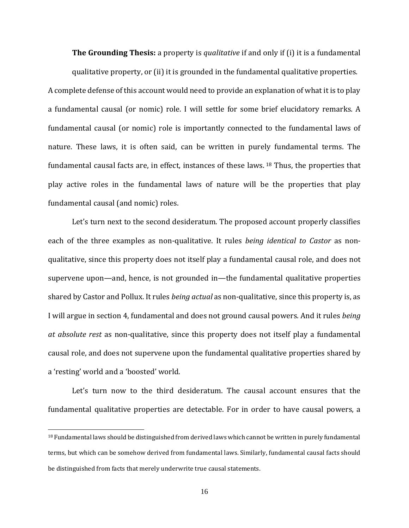**The Grounding Thesis:** a property is *qualitative* if and only if (i) it is a fundamental

qualitative property, or (ii) it is grounded in the fundamental qualitative properties. A complete defense of this account would need to provide an explanation of what it is to play a fundamental causal (or nomic) role. I will settle for some brief elucidatory remarks. A fundamental causal (or nomic) role is importantly connected to the fundamental laws of nature. These laws, it is often said, can be written in purely fundamental terms. The fundamental causal facts are, in effect, instances of these laws. <sup>18</sup> Thus, the properties that play active roles in the fundamental laws of nature will be the properties that play fundamental causal (and nomic) roles.

Let's turn next to the second desideratum. The proposed account properly classifies each of the three examples as non-qualitative. It rules *being identical to Castor* as nonqualitative, since this property does not itself play a fundamental causal role, and does not supervene upon—and, hence, is not grounded in—the fundamental qualitative properties shared by Castor and Pollux. It rules *being actual* as non-qualitative, since this property is, as I will argue in section 4, fundamental and does not ground causal powers. And it rules *being at absolute rest* as non-qualitative, since this property does not itself play a fundamental causal role, and does not supervene upon the fundamental qualitative properties shared by a 'resting' world and a 'boosted' world.

Let's turn now to the third desideratum. The causal account ensures that the fundamental qualitative properties are detectable. For in order to have causal powers, a

<sup>18</sup> Fundamental laws should be distinguished from derived laws which cannot be written in purely fundamental terms, but which can be somehow derived from fundamental laws. Similarly, fundamental causal facts should be distinguished from facts that merely underwrite true causal statements.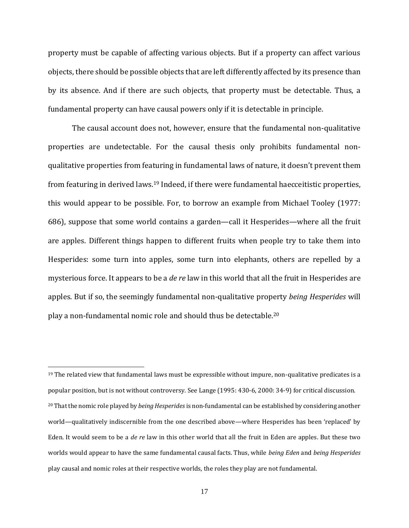property must be capable of affecting various objects. But if a property can affect various objects, there should be possible objects that are left differently affected by its presence than by its absence. And if there are such objects, that property must be detectable. Thus, a fundamental property can have causal powers only if it is detectable in principle.

The causal account does not, however, ensure that the fundamental non-qualitative properties are undetectable. For the causal thesis only prohibits fundamental nonqualitative properties from featuring in fundamental laws of nature, it doesn't prevent them from featuring in derived laws.<sup>19</sup> Indeed, if there were fundamental haecceitistic properties, this would appear to be possible. For, to borrow an example from Michael Tooley (1977: 686), suppose that some world contains a garden—call it Hesperides—where all the fruit are apples. Different things happen to different fruits when people try to take them into Hesperides: some turn into apples, some turn into elephants, others are repelled by a mysterious force. It appears to be a *de re* law in this world that all the fruit in Hesperides are apples. But if so, the seemingly fundamental non-qualitative property *being Hesperides* will play a non-fundamental nomic role and should thus be detectable. 20

 $19$  The related view that fundamental laws must be expressible without impure, non-qualitative predicates is a popular position, but is not without controversy. See Lange (1995: 430-6, 2000: 34-9) for critical discussion. <sup>20</sup> That the nomic role played by *being Hesperides*is non-fundamental can be established by considering another world—qualitatively indiscernible from the one described above—where Hesperides has been 'replaced' by Eden. It would seem to be a *de re* law in this other world that all the fruit in Eden are apples. But these two worlds would appear to have the same fundamental causal facts. Thus, while *being Eden* and *being Hesperides* play causal and nomic roles at their respective worlds, the roles they play are not fundamental.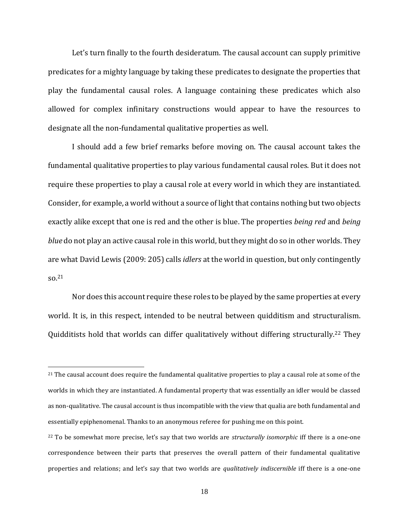Let's turn finally to the fourth desideratum. The causal account can supply primitive predicates for a mighty language by taking these predicates to designate the properties that play the fundamental causal roles. A language containing these predicates which also allowed for complex infinitary constructions would appear to have the resources to designate all the non-fundamental qualitative properties as well.

I should add a few brief remarks before moving on. The causal account takes the fundamental qualitative properties to play various fundamental causal roles. But it does not require these properties to play a causal role at every world in which they are instantiated. Consider, for example, a world without a source of light that contains nothing but two objects exactly alike except that one is red and the other is blue. The properties *being red* and *being blue* do not play an active causal role in this world, but they might do so in other worlds. They are what David Lewis (2009: 205) calls *idlers* at the world in question, but only contingently so.<sup>21</sup>

Nor does this account require these roles to be played by the same properties at every world. It is, in this respect, intended to be neutral between quidditism and structuralism. Quidditists hold that worlds can differ qualitatively without differing structurally.<sup>22</sup> They

<sup>&</sup>lt;sup>21</sup> The causal account does require the fundamental qualitative properties to play a causal role at some of the worlds in which they are instantiated. A fundamental property that was essentially an idler would be classed as non-qualitative. The causal account is thus incompatible with the view that qualia are both fundamental and essentially epiphenomenal. Thanks to an anonymous referee for pushing me on this point.

<sup>22</sup> To be somewhat more precise, let's say that two worlds are *structurally isomorphic* iff there is a one-one correspondence between their parts that preserves the overall pattern of their fundamental qualitative properties and relations; and let's say that two worlds are *qualitatively indiscernible* iff there is a one-one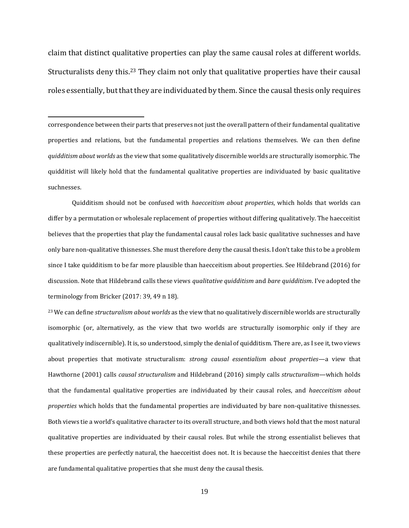claim that distinct qualitative properties can play the same causal roles at different worlds. Structuralists deny this.<sup>23</sup> They claim not only that qualitative properties have their causal roles essentially, but that they are individuated by them. Since the causal thesis only requires

correspondence between their parts that preserves not just the overall pattern of their fundamental qualitative properties and relations, but the fundamental properties and relations themselves. We can then define *quidditism about worlds* as the view that some qualitatively discernible worlds are structurally isomorphic. The quidditist will likely hold that the fundamental qualitative properties are individuated by basic qualitative suchnesses.

Quidditism should not be confused with *haecceitism about properties*, which holds that worlds can differ by a permutation or wholesale replacement of properties without differing qualitatively. The haecceitist believes that the properties that play the fundamental causal roles lack basic qualitative suchnesses and have only bare non-qualitative thisnesses. She must therefore deny the causal thesis. I don't take this to be a problem since I take quidditism to be far more plausible than haecceitism about properties. See Hildebrand (2016) for discussion. Note that Hildebrand calls these views *qualitative quidditism* and *bare quidditism*. I've adopted the terminology from Bricker (2017: 39, 49 n 18).

<sup>23</sup> We can define *structuralism about worlds* as the view that no qualitatively discernible worlds are structurally isomorphic (or, alternatively, as the view that two worlds are structurally isomorphic only if they are qualitatively indiscernible). It is, so understood, simply the denial of quidditism. There are, as I see it, two views about properties that motivate structuralism: *strong causal essentialism about properties*—a view that Hawthorne (2001) calls *causal structuralism* and Hildebrand (2016) simply calls *structuralism*—which holds that the fundamental qualitative properties are individuated by their causal roles, and *haecceitism about properties* which holds that the fundamental properties are individuated by bare non-qualitative thisnesses. Both views tie a world's qualitative character to its overall structure, and both views hold that the most natural qualitative properties are individuated by their causal roles. But while the strong essentialist believes that these properties are perfectly natural, the haecceitist does not. It is because the haecceitist denies that there are fundamental qualitative properties that she must deny the causal thesis.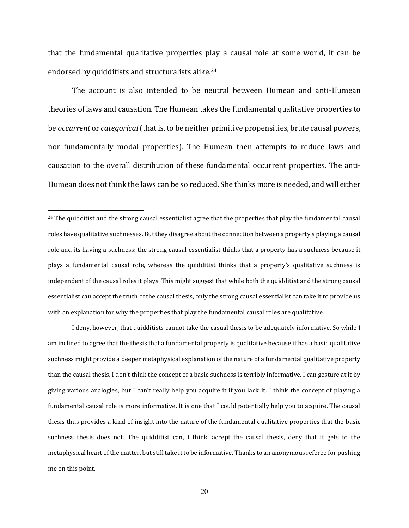that the fundamental qualitative properties play a causal role at some world, it can be endorsed by quidditists and structuralists alike.<sup>24</sup>

The account is also intended to be neutral between Humean and anti-Humean theories of laws and causation. The Humean takes the fundamental qualitative properties to be *occurrent* or *categorical*(that is, to be neither primitive propensities, brute causal powers, nor fundamentally modal properties). The Humean then attempts to reduce laws and causation to the overall distribution of these fundamental occurrent properties. The anti-Humean does not think the laws can be so reduced. She thinks more is needed, and will either

I deny, however, that quidditists cannot take the casual thesis to be adequately informative. So while I am inclined to agree that the thesis that a fundamental property is qualitative because it has a basic qualitative suchness might provide a deeper metaphysical explanation of the nature of a fundamental qualitative property than the causal thesis, I don't think the concept of a basic suchness is terribly informative. I can gesture at it by giving various analogies, but I can't really help you acquire it if you lack it. I think the concept of playing a fundamental causal role is more informative. It is one that I could potentially help you to acquire. The causal thesis thus provides a kind of insight into the nature of the fundamental qualitative properties that the basic suchness thesis does not. The quidditist can, I think, accept the causal thesis, deny that it gets to the metaphysical heart of the matter, but still take it to be informative. Thanks to an anonymous referee for pushing me on this point.

<sup>&</sup>lt;sup>24</sup> The quidditist and the strong causal essentialist agree that the properties that play the fundamental causal roles have qualitative suchnesses. But they disagree about the connection between a property's playing a causal role and its having a suchness: the strong causal essentialist thinks that a property has a suchness because it plays a fundamental causal role, whereas the quidditist thinks that a property's qualitative suchness is independent of the causal roles it plays. This might suggest that while both the quidditist and the strong causal essentialist can accept the truth of the causal thesis, only the strong causal essentialist can take it to provide us with an explanation for why the properties that play the fundamental causal roles are qualitative.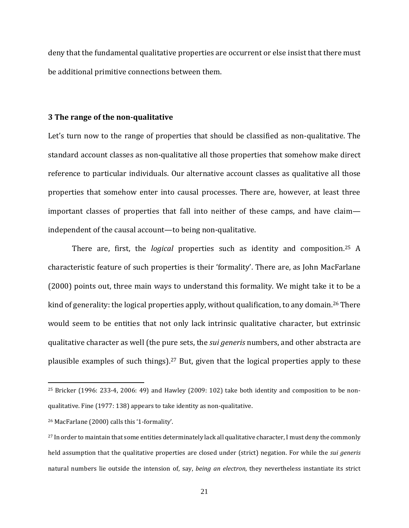deny that the fundamental qualitative properties are occurrent or else insist that there must be additional primitive connections between them.

## **3 The range of the non-qualitative**

Let's turn now to the range of properties that should be classified as non-qualitative. The standard account classes as non-qualitative all those properties that somehow make direct reference to particular individuals. Our alternative account classes as qualitative all those properties that somehow enter into causal processes. There are, however, at least three important classes of properties that fall into neither of these camps, and have claim independent of the causal account—to being non-qualitative.

There are, first, the *logical* properties such as identity and composition.<sup>25</sup> A characteristic feature of such properties is their 'formality'. There are, as John MacFarlane (2000) points out, three main ways to understand this formality. We might take it to be a kind of generality: the logical properties apply, without qualification, to any domain.<sup>26</sup> There would seem to be entities that not only lack intrinsic qualitative character, but extrinsic qualitative character as well (the pure sets, the *sui generis* numbers, and other abstracta are plausible examples of such things).<sup>27</sup> But, given that the logical properties apply to these

<sup>25</sup> Bricker (1996: 233-4, 2006: 49) and Hawley (2009: 102) take both identity and composition to be nonqualitative. Fine (1977: 138) appears to take identity as non-qualitative.

<sup>26</sup> MacFarlane (2000) calls this '1-formality'.

<sup>&</sup>lt;sup>27</sup> In order to maintain that some entities determinately lack all qualitative character, I must deny the commonly held assumption that the qualitative properties are closed under (strict) negation. For while the *sui generis* natural numbers lie outside the intension of, say, *being an electron*, they nevertheless instantiate its strict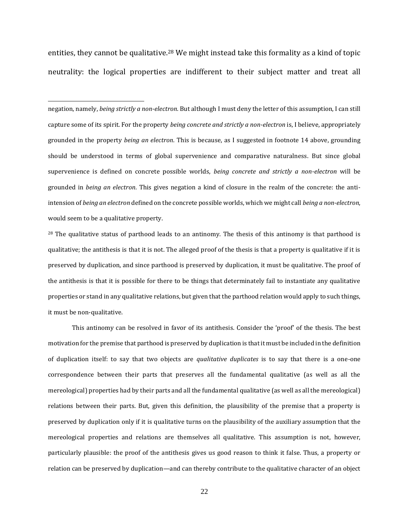entities, they cannot be qualitative.<sup>28</sup> We might instead take this formality as a kind of topic neutrality: the logical properties are indifferent to their subject matter and treat all

negation, namely, *being strictly a non-electron*. But although I must deny the letter of this assumption, I can still capture some of its spirit. For the property *being concrete and strictly a non-electron* is, I believe, appropriately grounded in the property *being an electron*. This is because, as I suggested in footnote 14 above, grounding should be understood in terms of global supervenience and comparative naturalness. But since global supervenience is defined on concrete possible worlds, *being concrete and strictly a non-electron* will be grounded in *being an electron*. This gives negation a kind of closure in the realm of the concrete: the antiintension of *being an electron* defined on the concrete possible worlds, which we might call *being a non-electron*, would seem to be a qualitative property.

<sup>28</sup> The qualitative status of parthood leads to an antinomy. The thesis of this antinomy is that parthood is qualitative; the antithesis is that it is not. The alleged proof of the thesis is that a property is qualitative if it is preserved by duplication, and since parthood is preserved by duplication, it must be qualitative. The proof of the antithesis is that it is possible for there to be things that determinately fail to instantiate any qualitative properties or stand in any qualitative relations, but given that the parthood relation would apply to such things, it must be non-qualitative.

This antinomy can be resolved in favor of its antithesis. Consider the 'proof' of the thesis. The best motivation for the premise that parthood is preserved by duplication is that it must be included in the definition of duplication itself: to say that two objects are *qualitative duplicates* is to say that there is a one-one correspondence between their parts that preserves all the fundamental qualitative (as well as all the mereological) properties had by their parts and all the fundamental qualitative (as well as all the mereological) relations between their parts. But, given this definition, the plausibility of the premise that a property is preserved by duplication only if it is qualitative turns on the plausibility of the auxiliary assumption that the mereological properties and relations are themselves all qualitative. This assumption is not, however, particularly plausible: the proof of the antithesis gives us good reason to think it false. Thus, a property or relation can be preserved by duplication—and can thereby contribute to the qualitative character of an object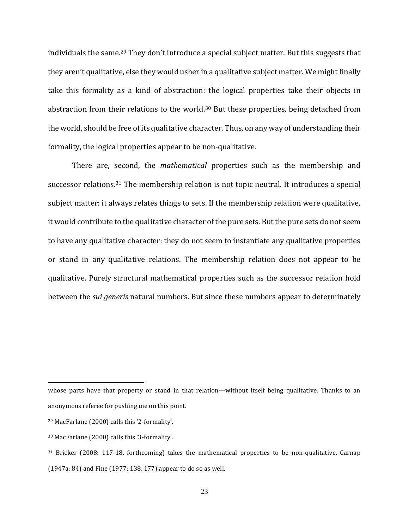individuals the same.<sup>29</sup> They don't introduce a special subject matter. But this suggests that they aren't qualitative, else they would usher in a qualitative subject matter. We might finally take this formality as a kind of abstraction: the logical properties take their objects in abstraction from their relations to the world.<sup>30</sup> But these properties, being detached from the world, should be free of its qualitative character. Thus, on any way of understanding their formality, the logical properties appear to be non-qualitative.

There are, second, the *mathematical* properties such as the membership and successor relations.<sup>31</sup> The membership relation is not topic neutral. It introduces a special subject matter: it always relates things to sets. If the membership relation were qualitative, it would contribute to the qualitative character of the pure sets. But the pure sets do not seem to have any qualitative character: they do not seem to instantiate any qualitative properties or stand in any qualitative relations. The membership relation does not appear to be qualitative. Purely structural mathematical properties such as the successor relation hold between the *sui generis* natural numbers. But since these numbers appear to determinately

whose parts have that property or stand in that relation—without itself being qualitative. Thanks to an anonymous referee for pushing me on this point.

<sup>29</sup> MacFarlane (2000) calls this '2-formality'.

<sup>30</sup> MacFarlane (2000) calls this '3-formality'.

<sup>31</sup> Bricker (2008: 117-18, forthcoming) takes the mathematical properties to be non-qualitative. Carnap (1947a: 84) and Fine (1977: 138, 177) appear to do so as well.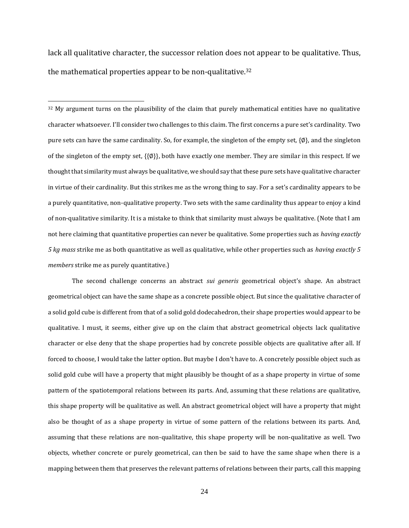lack all qualitative character, the successor relation does not appear to be qualitative. Thus, the mathematical properties appear to be non-qualitative.<sup>32</sup>

 $32$  My argument turns on the plausibility of the claim that purely mathematical entities have no qualitative character whatsoever. I'll consider two challenges to this claim. The first concerns a pure set's cardinality. Two pure sets can have the same cardinality. So, for example, the singleton of the empty set, {∅}, and the singleton of the singleton of the empty set, {{∅}}, both have exactly one member. They are similar in this respect. If we thought that similarity must always be qualitative, we should say that these pure sets have qualitative character in virtue of their cardinality. But this strikes me as the wrong thing to say. For a set's cardinality appears to be a purely quantitative, non-qualitative property. Two sets with the same cardinality thus appear to enjoy a kind of non-qualitative similarity. It is a mistake to think that similarity must always be qualitative. (Note that I am not here claiming that quantitative properties can never be qualitative. Some properties such as *having exactly 5 kg mass* strike me as both quantitative as well as qualitative, while other properties such as *having exactly 5 members* strike me as purely quantitative.)

The second challenge concerns an abstract *sui generis* geometrical object's shape. An abstract geometrical object can have the same shape as a concrete possible object. But since the qualitative character of a solid gold cube is different from that of a solid gold dodecahedron, their shape properties would appear to be qualitative. I must, it seems, either give up on the claim that abstract geometrical objects lack qualitative character or else deny that the shape properties had by concrete possible objects are qualitative after all. If forced to choose, I would take the latter option. But maybe I don't have to. A concretely possible object such as solid gold cube will have a property that might plausibly be thought of as a shape property in virtue of some pattern of the spatiotemporal relations between its parts. And, assuming that these relations are qualitative, this shape property will be qualitative as well. An abstract geometrical object will have a property that might also be thought of as a shape property in virtue of some pattern of the relations between its parts. And, assuming that these relations are non-qualitative, this shape property will be non-qualitative as well. Two objects, whether concrete or purely geometrical, can then be said to have the same shape when there is a mapping between them that preserves the relevant patterns of relations between their parts, call this mapping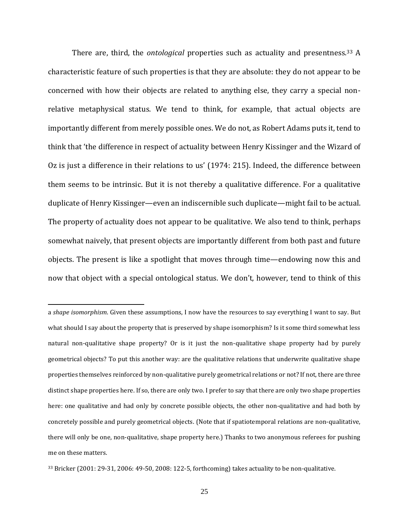There are, third, the *ontological* properties such as actuality and presentness.<sup>33</sup> A characteristic feature of such properties is that they are absolute: they do not appear to be concerned with how their objects are related to anything else, they carry a special nonrelative metaphysical status. We tend to think, for example, that actual objects are importantly different from merely possible ones. We do not, as Robert Adams puts it, tend to think that 'the difference in respect of actuality between Henry Kissinger and the Wizard of Oz is just a difference in their relations to us' (1974: 215). Indeed, the difference between them seems to be intrinsic. But it is not thereby a qualitative difference. For a qualitative duplicate of Henry Kissinger—even an indiscernible such duplicate—might fail to be actual. The property of actuality does not appear to be qualitative. We also tend to think, perhaps somewhat naively, that present objects are importantly different from both past and future objects. The present is like a spotlight that moves through time—endowing now this and now that object with a special ontological status. We don't, however, tend to think of this

a *shape isomorphism*. Given these assumptions, I now have the resources to say everything I want to say. But what should I say about the property that is preserved by shape isomorphism? Is it some third somewhat less natural non-qualitative shape property? Or is it just the non-qualitative shape property had by purely geometrical objects? To put this another way: are the qualitative relations that underwrite qualitative shape properties themselves reinforced by non-qualitative purely geometrical relations or not? If not, there are three distinct shape properties here. If so, there are only two. I prefer to say that there are only two shape properties here: one qualitative and had only by concrete possible objects, the other non-qualitative and had both by concretely possible and purely geometrical objects. (Note that if spatiotemporal relations are non-qualitative, there will only be one, non-qualitative, shape property here.) Thanks to two anonymous referees for pushing me on these matters.

<sup>33</sup> Bricker (2001: 29-31, 2006: 49-50, 2008: 122-5, forthcoming) takes actuality to be non-qualitative.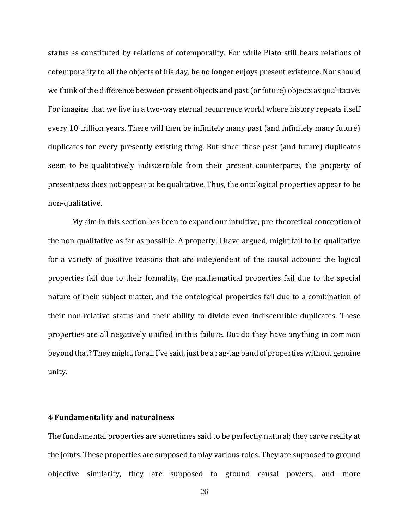status as constituted by relations of cotemporality. For while Plato still bears relations of cotemporality to all the objects of his day, he no longer enjoys present existence. Nor should we think of the difference between present objects and past (or future) objects as qualitative. For imagine that we live in a two-way eternal recurrence world where history repeats itself every 10 trillion years. There will then be infinitely many past (and infinitely many future) duplicates for every presently existing thing. But since these past (and future) duplicates seem to be qualitatively indiscernible from their present counterparts, the property of presentness does not appear to be qualitative. Thus, the ontological properties appear to be non-qualitative.

My aim in this section has been to expand our intuitive, pre-theoretical conception of the non-qualitative as far as possible. A property, I have argued, might fail to be qualitative for a variety of positive reasons that are independent of the causal account: the logical properties fail due to their formality, the mathematical properties fail due to the special nature of their subject matter, and the ontological properties fail due to a combination of their non-relative status and their ability to divide even indiscernible duplicates. These properties are all negatively unified in this failure. But do they have anything in common beyond that? They might, for all I've said, just be a rag-tag band of properties without genuine unity.

### **4 Fundamentality and naturalness**

The fundamental properties are sometimes said to be perfectly natural; they carve reality at the joints. These properties are supposed to play various roles. They are supposed to ground objective similarity, they are supposed to ground causal powers, and—more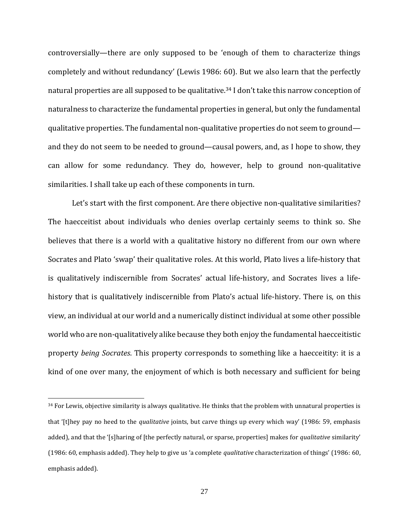controversially—there are only supposed to be 'enough of them to characterize things completely and without redundancy' (Lewis 1986: 60). But we also learn that the perfectly natural properties are all supposed to be qualitative.<sup>34</sup> I don't take this narrow conception of naturalness to characterize the fundamental properties in general, but only the fundamental qualitative properties. The fundamental non-qualitative properties do not seem to ground and they do not seem to be needed to ground—causal powers, and, as I hope to show, they can allow for some redundancy. They do, however, help to ground non-qualitative similarities. I shall take up each of these components in turn.

Let's start with the first component. Are there objective non-qualitative similarities? The haecceitist about individuals who denies overlap certainly seems to think so. She believes that there is a world with a qualitative history no different from our own where Socrates and Plato 'swap' their qualitative roles. At this world, Plato lives a life-history that is qualitatively indiscernible from Socrates' actual life-history, and Socrates lives a lifehistory that is qualitatively indiscernible from Plato's actual life-history. There is, on this view, an individual at our world and a numerically distinct individual at some other possible world who are non-qualitatively alike because they both enjoy the fundamental haecceitistic property *being Socrates*. This property corresponds to something like a haecceitity: it is a kind of one over many, the enjoyment of which is both necessary and sufficient for being

 $34$  For Lewis, objective similarity is always qualitative. He thinks that the problem with unnatural properties is that '[t]hey pay no heed to the *qualitative* joints, but carve things up every which way' (1986: 59, emphasis added), and that the '[s]haring of [the perfectly natural, or sparse, properties] makes for *qualitative* similarity' (1986: 60, emphasis added). They help to give us 'a complete *qualitative* characterization of things' (1986: 60, emphasis added).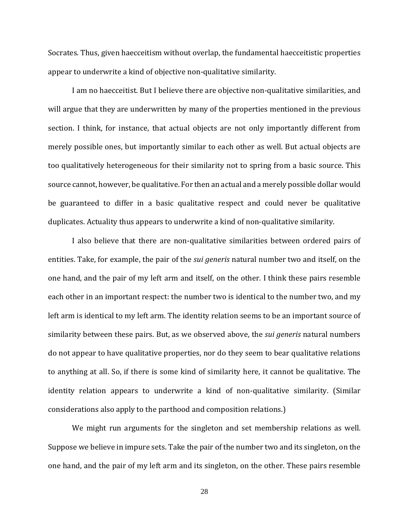Socrates. Thus, given haecceitism without overlap, the fundamental haecceitistic properties appear to underwrite a kind of objective non-qualitative similarity.

I am no haecceitist. But I believe there are objective non-qualitative similarities, and will argue that they are underwritten by many of the properties mentioned in the previous section. I think, for instance, that actual objects are not only importantly different from merely possible ones, but importantly similar to each other as well. But actual objects are too qualitatively heterogeneous for their similarity not to spring from a basic source. This source cannot, however, be qualitative. For then an actual and a merely possible dollar would be guaranteed to differ in a basic qualitative respect and could never be qualitative duplicates. Actuality thus appears to underwrite a kind of non-qualitative similarity.

I also believe that there are non-qualitative similarities between ordered pairs of entities. Take, for example, the pair of the *sui generis* natural number two and itself, on the one hand, and the pair of my left arm and itself, on the other. I think these pairs resemble each other in an important respect: the number two is identical to the number two, and my left arm is identical to my left arm. The identity relation seems to be an important source of similarity between these pairs. But, as we observed above, the *sui generis* natural numbers do not appear to have qualitative properties, nor do they seem to bear qualitative relations to anything at all. So, if there is some kind of similarity here, it cannot be qualitative. The identity relation appears to underwrite a kind of non-qualitative similarity. (Similar considerations also apply to the parthood and composition relations.)

We might run arguments for the singleton and set membership relations as well. Suppose we believe in impure sets. Take the pair of the number two and its singleton, on the one hand, and the pair of my left arm and its singleton, on the other. These pairs resemble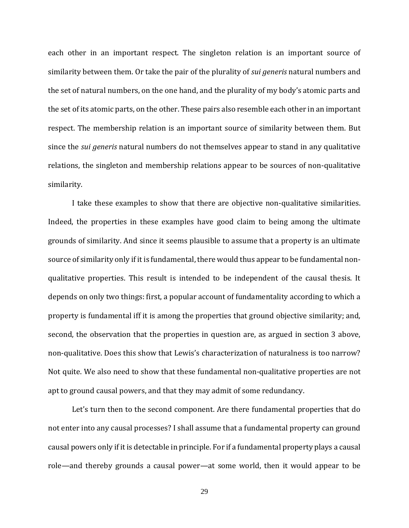each other in an important respect. The singleton relation is an important source of similarity between them. Or take the pair of the plurality of *sui generis* natural numbers and the set of natural numbers, on the one hand, and the plurality of my body's atomic parts and the set of its atomic parts, on the other. These pairs also resemble each other in an important respect. The membership relation is an important source of similarity between them. But since the *sui generis* natural numbers do not themselves appear to stand in any qualitative relations, the singleton and membership relations appear to be sources of non-qualitative similarity.

I take these examples to show that there are objective non-qualitative similarities. Indeed, the properties in these examples have good claim to being among the ultimate grounds of similarity. And since it seems plausible to assume that a property is an ultimate source of similarity only if it is fundamental, there would thus appear to be fundamental nonqualitative properties. This result is intended to be independent of the causal thesis. It depends on only two things: first, a popular account of fundamentality according to which a property is fundamental iff it is among the properties that ground objective similarity; and, second, the observation that the properties in question are, as argued in section 3 above, non-qualitative. Does this show that Lewis's characterization of naturalness is too narrow? Not quite. We also need to show that these fundamental non-qualitative properties are not apt to ground causal powers, and that they may admit of some redundancy.

Let's turn then to the second component. Are there fundamental properties that do not enter into any causal processes? I shall assume that a fundamental property can ground causal powers only if it is detectable in principle. For if a fundamental property plays a causal role—and thereby grounds a causal power—at some world, then it would appear to be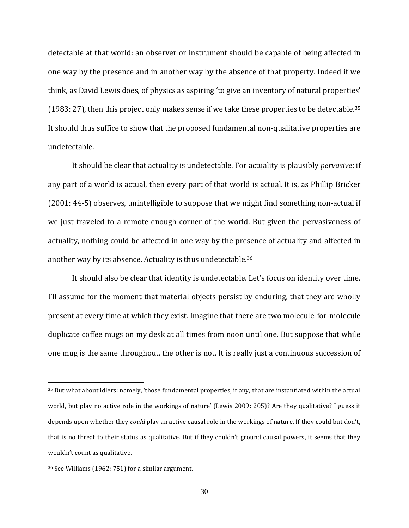detectable at that world: an observer or instrument should be capable of being affected in one way by the presence and in another way by the absence of that property. Indeed if we think, as David Lewis does, of physics as aspiring 'to give an inventory of natural properties' (1983: 27), then this project only makes sense if we take these properties to be detectable.<sup>35</sup> It should thus suffice to show that the proposed fundamental non-qualitative properties are undetectable.

It should be clear that actuality is undetectable. For actuality is plausibly *pervasive*: if any part of a world is actual, then every part of that world is actual. It is, as Phillip Bricker (2001: 44-5) observes, unintelligible to suppose that we might find something non-actual if we just traveled to a remote enough corner of the world. But given the pervasiveness of actuality, nothing could be affected in one way by the presence of actuality and affected in another way by its absence. Actuality is thus undetectable.<sup>36</sup>

It should also be clear that identity is undetectable. Let's focus on identity over time. I'll assume for the moment that material objects persist by enduring, that they are wholly present at every time at which they exist. Imagine that there are two molecule-for-molecule duplicate coffee mugs on my desk at all times from noon until one. But suppose that while one mug is the same throughout, the other is not. It is really just a continuous succession of

<sup>35</sup> But what about idlers: namely, 'those fundamental properties, if any, that are instantiated within the actual world, but play no active role in the workings of nature' (Lewis 2009: 205)? Are they qualitative? I guess it depends upon whether they *could* play an active causal role in the workings of nature. If they could but don't, that is no threat to their status as qualitative. But if they couldn't ground causal powers, it seems that they wouldn't count as qualitative.

<sup>36</sup> See Williams (1962: 751) for a similar argument.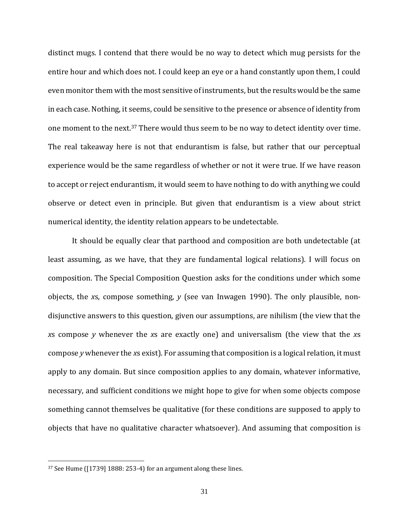distinct mugs. I contend that there would be no way to detect which mug persists for the entire hour and which does not. I could keep an eye or a hand constantly upon them, I could even monitor them with the most sensitive of instruments, but the results would be the same in each case. Nothing, it seems, could be sensitive to the presence or absence of identity from one moment to the next.<sup>37</sup> There would thus seem to be no way to detect identity over time. The real takeaway here is not that endurantism is false, but rather that our perceptual experience would be the same regardless of whether or not it were true. If we have reason to accept or reject endurantism, it would seem to have nothing to do with anything we could observe or detect even in principle. But given that endurantism is a view about strict numerical identity, the identity relation appears to be undetectable.

It should be equally clear that parthood and composition are both undetectable (at least assuming, as we have, that they are fundamental logical relations). I will focus on composition. The Special Composition Question asks for the conditions under which some objects, the *x*s, compose something, *y* (see van Inwagen 1990). The only plausible, nondisjunctive answers to this question, given our assumptions, are nihilism (the view that the *x*s compose *y* whenever the *x*s are exactly one) and universalism (the view that the *x*s compose *y* whenever the *x*s exist). For assuming that composition is a logical relation, it must apply to any domain. But since composition applies to any domain, whatever informative, necessary, and sufficient conditions we might hope to give for when some objects compose something cannot themselves be qualitative (for these conditions are supposed to apply to objects that have no qualitative character whatsoever). And assuming that composition is

<sup>37</sup> See Hume ([1739] 1888: 253-4) for an argument along these lines.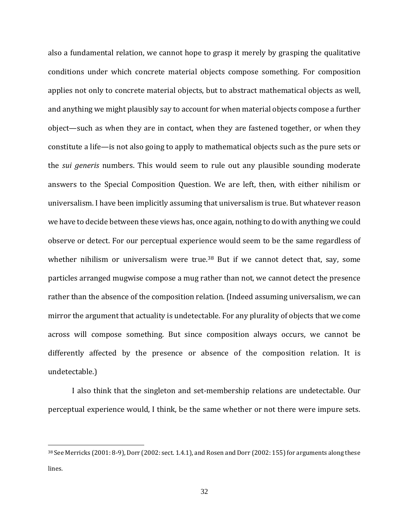also a fundamental relation, we cannot hope to grasp it merely by grasping the qualitative conditions under which concrete material objects compose something. For composition applies not only to concrete material objects, but to abstract mathematical objects as well, and anything we might plausibly say to account for when material objects compose a further object—such as when they are in contact, when they are fastened together, or when they constitute a life—is not also going to apply to mathematical objects such as the pure sets or the *sui generis* numbers. This would seem to rule out any plausible sounding moderate answers to the Special Composition Question. We are left, then, with either nihilism or universalism. I have been implicitly assuming that universalism is true. But whatever reason we have to decide between these views has, once again, nothing to do with anything we could observe or detect. For our perceptual experience would seem to be the same regardless of whether nihilism or universalism were true.<sup>38</sup> But if we cannot detect that, say, some particles arranged mugwise compose a mug rather than not, we cannot detect the presence rather than the absence of the composition relation. (Indeed assuming universalism, we can mirror the argument that actuality is undetectable. For any plurality of objects that we come across will compose something. But since composition always occurs, we cannot be differently affected by the presence or absence of the composition relation. It is undetectable.)

I also think that the singleton and set-membership relations are undetectable. Our perceptual experience would, I think, be the same whether or not there were impure sets.

<sup>38</sup> See Merricks (2001: 8-9), Dorr (2002: sect. 1.4.1), and Rosen and Dorr (2002: 155) for arguments along these lines.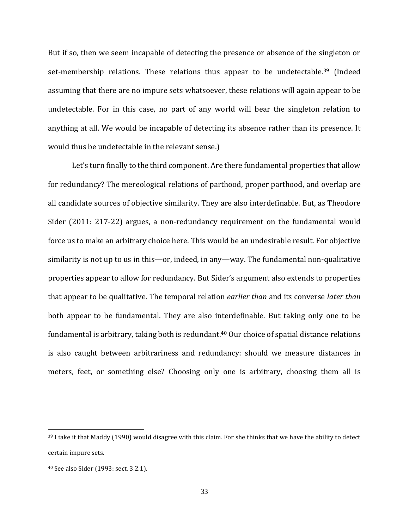But if so, then we seem incapable of detecting the presence or absence of the singleton or set-membership relations. These relations thus appear to be undetectable.<sup>39</sup> (Indeed assuming that there are no impure sets whatsoever, these relations will again appear to be undetectable. For in this case, no part of any world will bear the singleton relation to anything at all. We would be incapable of detecting its absence rather than its presence. It would thus be undetectable in the relevant sense.)

Let's turn finally to the third component. Are there fundamental properties that allow for redundancy? The mereological relations of parthood, proper parthood, and overlap are all candidate sources of objective similarity. They are also interdefinable. But, as Theodore Sider (2011: 217-22) argues, a non-redundancy requirement on the fundamental would force us to make an arbitrary choice here. This would be an undesirable result. For objective similarity is not up to us in this—or, indeed, in any—way. The fundamental non-qualitative properties appear to allow for redundancy. But Sider's argument also extends to properties that appear to be qualitative. The temporal relation *earlier than* and its converse *later than* both appear to be fundamental. They are also interdefinable. But taking only one to be fundamental is arbitrary, taking both is redundant.<sup>40</sup> Our choice of spatial distance relations is also caught between arbitrariness and redundancy: should we measure distances in meters, feet, or something else? Choosing only one is arbitrary, choosing them all is

<sup>&</sup>lt;sup>39</sup> I take it that Maddy (1990) would disagree with this claim. For she thinks that we have the ability to detect certain impure sets.

<sup>40</sup> See also Sider (1993: sect. 3.2.1).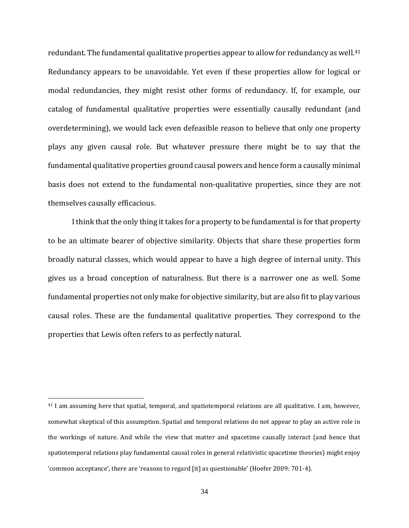redundant. The fundamental qualitative properties appear to allow for redundancy as well.<sup>41</sup> Redundancy appears to be unavoidable. Yet even if these properties allow for logical or modal redundancies, they might resist other forms of redundancy. If, for example, our catalog of fundamental qualitative properties were essentially causally redundant (and overdetermining), we would lack even defeasible reason to believe that only one property plays any given causal role. But whatever pressure there might be to say that the fundamental qualitative properties ground causal powers and hence form a causally minimal basis does not extend to the fundamental non-qualitative properties, since they are not themselves causally efficacious.

I think that the only thing it takes for a property to be fundamental is for that property to be an ultimate bearer of objective similarity. Objects that share these properties form broadly natural classes, which would appear to have a high degree of internal unity. This gives us a broad conception of naturalness. But there is a narrower one as well. Some fundamental properties not only make for objective similarity, but are also fit to play various causal roles. These are the fundamental qualitative properties. They correspond to the properties that Lewis often refers to as perfectly natural.

<sup>41</sup> I am assuming here that spatial, temporal, and spatiotemporal relations are all qualitative. I am, however, somewhat skeptical of this assumption. Spatial and temporal relations do not appear to play an active role in the workings of nature. And while the view that matter and spacetime causally interact (and hence that spatiotemporal relations play fundamental causal roles in general relativistic spacetime theories) might enjoy 'common acceptance', there are 'reasons to regard [it] as questionable' (Hoefer 2009: 701-4).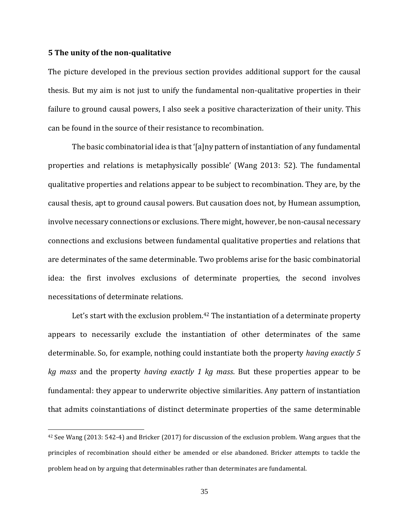### **5 The unity of the non-qualitative**

The picture developed in the previous section provides additional support for the causal thesis. But my aim is not just to unify the fundamental non-qualitative properties in their failure to ground causal powers, I also seek a positive characterization of their unity. This can be found in the source of their resistance to recombination.

The basic combinatorial idea is that '[a]ny pattern of instantiation of any fundamental properties and relations is metaphysically possible' (Wang 2013: 52). The fundamental qualitative properties and relations appear to be subject to recombination. They are, by the causal thesis, apt to ground causal powers. But causation does not, by Humean assumption, involve necessary connections or exclusions. There might, however, be non-causal necessary connections and exclusions between fundamental qualitative properties and relations that are determinates of the same determinable. Two problems arise for the basic combinatorial idea: the first involves exclusions of determinate properties, the second involves necessitations of determinate relations.

Let's start with the exclusion problem.<sup>42</sup> The instantiation of a determinate property appears to necessarily exclude the instantiation of other determinates of the same determinable. So, for example, nothing could instantiate both the property *having exactly 5 kg mass* and the property *having exactly 1 kg mass*. But these properties appear to be fundamental: they appear to underwrite objective similarities. Any pattern of instantiation that admits coinstantiations of distinct determinate properties of the same determinable

<sup>42</sup> See Wang (2013: 542-4) and Bricker (2017) for discussion of the exclusion problem. Wang argues that the principles of recombination should either be amended or else abandoned. Bricker attempts to tackle the problem head on by arguing that determinables rather than determinates are fundamental.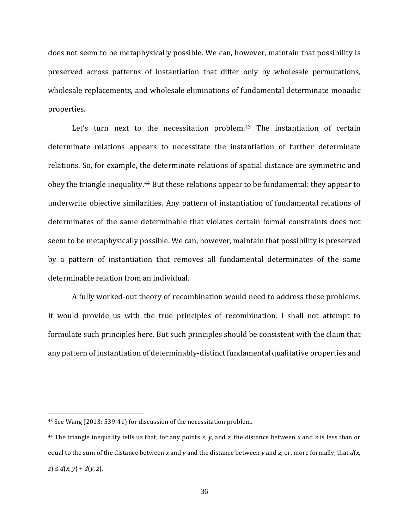does not seem to be metaphysically possible. We can, however, maintain that possibility is preserved across patterns of instantiation that differ only by wholesale permutations, wholesale replacements, and wholesale eliminations of fundamental determinate monadic properties.

Let's turn next to the necessitation problem.<sup>43</sup> The instantiation of certain determinate relations appears to necessitate the instantiation of further determinate relations. So, for example, the determinate relations of spatial distance are symmetric and obey the triangle inequality.<sup>44</sup> But these relations appear to be fundamental: they appear to underwrite objective similarities. Any pattern of instantiation of fundamental relations of determinates of the same determinable that violates certain formal constraints does not seem to be metaphysically possible. We can, however, maintain that possibility is preserved by a pattern of instantiation that removes all fundamental determinates of the same determinable relation from an individual.

A fully worked-out theory of recombination would need to address these problems. It would provide us with the true principles of recombination. I shall not attempt to formulate such principles here. But such principles should be consistent with the claim that any pattern of instantiation of determinably-distinct fundamental qualitative properties and

<sup>43</sup> See Wang (2013: 539-41) for discussion of the necessitation problem.

<sup>44</sup> The triangle inequality tells us that, for any points *x*, *y*, and *z*, the distance between *x* and *z* is less than or equal to the sum of the distance between *x* and *y* and the distance between *y* and *z*; or, more formally, that *d*(*x*, *z*) ≤ *d*(*x*, *y*) + *d*(*y*, *z*).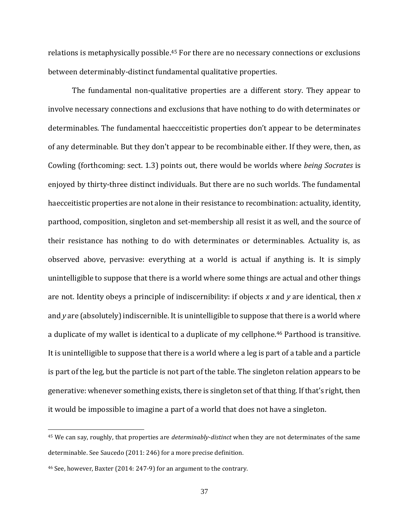relations is metaphysically possible. <sup>45</sup> For there are no necessary connections or exclusions between determinably-distinct fundamental qualitative properties.

The fundamental non-qualitative properties are a different story. They appear to involve necessary connections and exclusions that have nothing to do with determinates or determinables. The fundamental haeccceitistic properties don't appear to be determinates of any determinable. But they don't appear to be recombinable either. If they were, then, as Cowling (forthcoming: sect. 1.3) points out, there would be worlds where *being Socrates* is enjoyed by thirty-three distinct individuals. But there are no such worlds. The fundamental haecceitistic properties are not alone in their resistance to recombination: actuality, identity, parthood, composition, singleton and set-membership all resist it as well, and the source of their resistance has nothing to do with determinates or determinables. Actuality is, as observed above, pervasive: everything at a world is actual if anything is. It is simply unintelligible to suppose that there is a world where some things are actual and other things are not. Identity obeys a principle of indiscernibility: if objects *x* and *y* are identical, then *x* and *y* are (absolutely) indiscernible. It is unintelligible to suppose that there is a world where a duplicate of my wallet is identical to a duplicate of my cellphone. <sup>46</sup> Parthood is transitive. It is unintelligible to suppose that there is a world where a leg is part of a table and a particle is part of the leg, but the particle is not part of the table. The singleton relation appears to be generative: whenever something exists, there is singleton set of that thing. If that's right, then it would be impossible to imagine a part of a world that does not have a singleton.

<sup>45</sup> We can say, roughly, that properties are *determinably-distinct* when they are not determinates of the same determinable. See Saucedo (2011: 246) for a more precise definition.

<sup>46</sup> See, however, Baxter (2014: 247-9) for an argument to the contrary.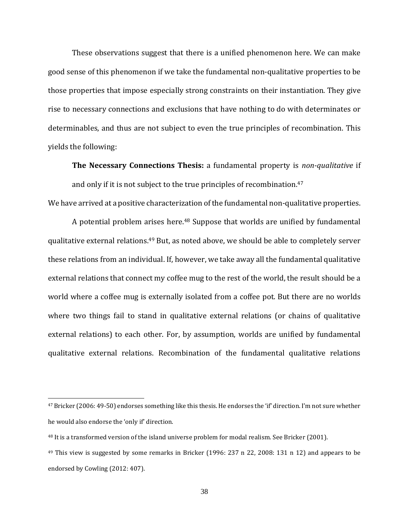These observations suggest that there is a unified phenomenon here. We can make good sense of this phenomenon if we take the fundamental non-qualitative properties to be those properties that impose especially strong constraints on their instantiation. They give rise to necessary connections and exclusions that have nothing to do with determinates or determinables, and thus are not subject to even the true principles of recombination. This yields the following:

**The Necessary Connections Thesis:** a fundamental property is *non-qualitative* if and only if it is not subject to the true principles of recombination.<sup>47</sup>

We have arrived at a positive characterization of the fundamental non-qualitative properties.

A potential problem arises here.<sup>48</sup> Suppose that worlds are unified by fundamental qualitative external relations.<sup>49</sup> But, as noted above, we should be able to completely server these relations from an individual. If, however, we take away all the fundamental qualitative external relations that connect my coffee mug to the rest of the world, the result should be a world where a coffee mug is externally isolated from a coffee pot. But there are no worlds where two things fail to stand in qualitative external relations (or chains of qualitative external relations) to each other. For, by assumption, worlds are unified by fundamental qualitative external relations. Recombination of the fundamental qualitative relations

<sup>&</sup>lt;sup>47</sup> Bricker (2006: 49-50) endorses something like this thesis. He endorses the 'if' direction. I'm not sure whether he would also endorse the 'only if' direction.

<sup>48</sup> It is a transformed version of the island universe problem for modal realism. See Bricker (2001).

<sup>49</sup> This view is suggested by some remarks in Bricker (1996: 237 n 22, 2008: 131 n 12) and appears to be endorsed by Cowling (2012: 407).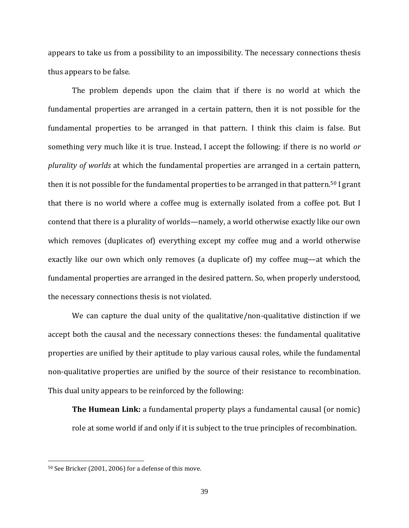appears to take us from a possibility to an impossibility. The necessary connections thesis thus appears to be false.

The problem depends upon the claim that if there is no world at which the fundamental properties are arranged in a certain pattern, then it is not possible for the fundamental properties to be arranged in that pattern. I think this claim is false. But something very much like it is true. Instead, I accept the following: if there is no world *or plurality of worlds* at which the fundamental properties are arranged in a certain pattern, then it is not possible for the fundamental properties to be arranged in that pattern.<sup>50</sup> I grant that there is no world where a coffee mug is externally isolated from a coffee pot. But I contend that there is a plurality of worlds—namely, a world otherwise exactly like our own which removes (duplicates of) everything except my coffee mug and a world otherwise exactly like our own which only removes (a duplicate of) my coffee mug—at which the fundamental properties are arranged in the desired pattern. So, when properly understood, the necessary connections thesis is not violated.

We can capture the dual unity of the qualitative/non-qualitative distinction if we accept both the causal and the necessary connections theses: the fundamental qualitative properties are unified by their aptitude to play various causal roles, while the fundamental non-qualitative properties are unified by the source of their resistance to recombination. This dual unity appears to be reinforced by the following:

**The Humean Link:** a fundamental property plays a fundamental causal (or nomic) role at some world if and only if it is subject to the true principles of recombination.

<sup>50</sup> See Bricker (2001, 2006) for a defense of this move.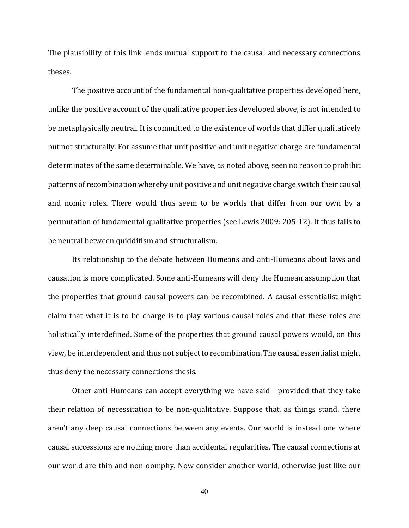The plausibility of this link lends mutual support to the causal and necessary connections theses.

The positive account of the fundamental non-qualitative properties developed here, unlike the positive account of the qualitative properties developed above, is not intended to be metaphysically neutral. It is committed to the existence of worlds that differ qualitatively but not structurally. For assume that unit positive and unit negative charge are fundamental determinates of the same determinable. We have, as noted above, seen no reason to prohibit patterns of recombination whereby unit positive and unit negative charge switch their causal and nomic roles. There would thus seem to be worlds that differ from our own by a permutation of fundamental qualitative properties (see Lewis 2009: 205-12). It thus fails to be neutral between quidditism and structuralism.

Its relationship to the debate between Humeans and anti-Humeans about laws and causation is more complicated. Some anti-Humeans will deny the Humean assumption that the properties that ground causal powers can be recombined. A causal essentialist might claim that what it is to be charge is to play various causal roles and that these roles are holistically interdefined. Some of the properties that ground causal powers would, on this view, be interdependent and thus not subject to recombination. The causal essentialist might thus deny the necessary connections thesis.

Other anti-Humeans can accept everything we have said—provided that they take their relation of necessitation to be non-qualitative. Suppose that, as things stand, there aren't any deep causal connections between any events. Our world is instead one where causal successions are nothing more than accidental regularities. The causal connections at our world are thin and non-oomphy. Now consider another world, otherwise just like our

40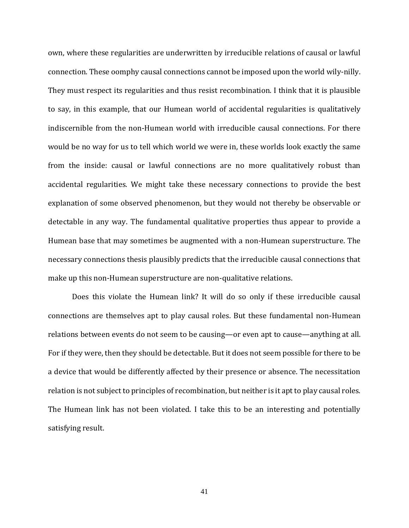own, where these regularities are underwritten by irreducible relations of causal or lawful connection. These oomphy causal connections cannot be imposed upon the world wily-nilly. They must respect its regularities and thus resist recombination. I think that it is plausible to say, in this example, that our Humean world of accidental regularities is qualitatively indiscernible from the non-Humean world with irreducible causal connections. For there would be no way for us to tell which world we were in, these worlds look exactly the same from the inside: causal or lawful connections are no more qualitatively robust than accidental regularities. We might take these necessary connections to provide the best explanation of some observed phenomenon, but they would not thereby be observable or detectable in any way. The fundamental qualitative properties thus appear to provide a Humean base that may sometimes be augmented with a non-Humean superstructure. The necessary connections thesis plausibly predicts that the irreducible causal connections that make up this non-Humean superstructure are non-qualitative relations.

Does this violate the Humean link? It will do so only if these irreducible causal connections are themselves apt to play causal roles. But these fundamental non-Humean relations between events do not seem to be causing—or even apt to cause—anything at all. For if they were, then they should be detectable. But it does not seem possible for there to be a device that would be differently affected by their presence or absence. The necessitation relation is not subject to principles of recombination, but neither is it apt to play causal roles. The Humean link has not been violated. I take this to be an interesting and potentially satisfying result.

41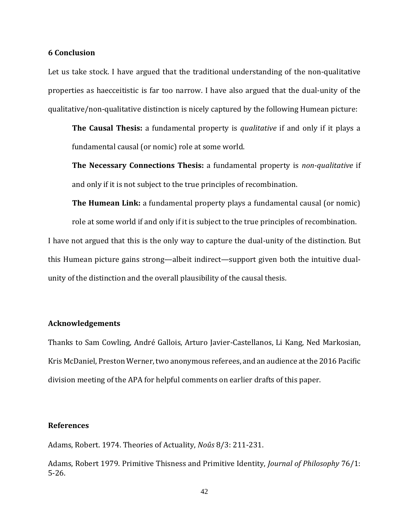### **6 Conclusion**

Let us take stock. I have argued that the traditional understanding of the non-qualitative properties as haecceitistic is far too narrow. I have also argued that the dual-unity of the qualitative/non-qualitative distinction is nicely captured by the following Humean picture:

**The Causal Thesis:** a fundamental property is *qualitative* if and only if it plays a fundamental causal (or nomic) role at some world.

**The Necessary Connections Thesis:** a fundamental property is *non-qualitative* if and only if it is not subject to the true principles of recombination.

**The Humean Link:** a fundamental property plays a fundamental causal (or nomic) role at some world if and only if it is subject to the true principles of recombination. I have not argued that this is the only way to capture the dual-unity of the distinction. But this Humean picture gains strong—albeit indirect—support given both the intuitive dual-

#### **Acknowledgements**

Thanks to Sam Cowling, André Gallois, Arturo Javier-Castellanos, Li Kang, Ned Markosian, Kris McDaniel, Preston Werner, two anonymous referees, and an audience at the 2016 Pacific division meeting of the APA for helpful comments on earlier drafts of this paper.

# **References**

Adams, Robert. 1974. Theories of Actuality, *Noûs* 8/3: 211-231.

unity of the distinction and the overall plausibility of the causal thesis.

Adams, Robert 1979. Primitive Thisness and Primitive Identity, *Journal of Philosophy* 76/1: 5-26.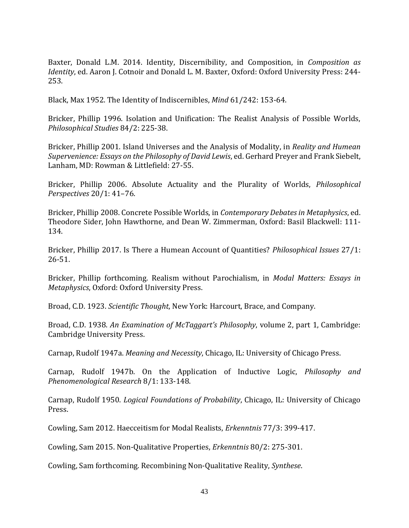Baxter, Donald L.M. 2014. Identity, Discernibility, and Composition, in *Composition as Identity*, ed. Aaron J. Cotnoir and Donald L. M. Baxter, Oxford: Oxford University Press: 244- 253.

Black, Max 1952. The Identity of Indiscernibles, *Mind* 61/242: 153-64.

Bricker, Phillip 1996. Isolation and Unification: The Realist Analysis of Possible Worlds, *Philosophical Studies* 84/2: 225-38.

Bricker, Phillip 2001. Island Universes and the Analysis of Modality, in *Reality and Humean Supervenience: Essays on the Philosophy of David Lewis*, ed. Gerhard Preyer and Frank Siebelt, Lanham, MD: Rowman & Littlefield: 27-55.

Bricker, Phillip 2006. Absolute Actuality and the Plurality of Worlds, *Philosophical Perspectives* 20/1: 41–76.

Bricker, Phillip 2008. Concrete Possible Worlds, in *Contemporary Debates in Metaphysics*, ed. Theodore Sider, John Hawthorne, and Dean W. Zimmerman, Oxford: Basil Blackwell: 111- 134.

Bricker, Phillip 2017. Is There a Humean Account of Quantities? *Philosophical Issues* 27/1: 26-51.

Bricker, Phillip forthcoming. Realism without Parochialism, in *Modal Matters: Essays in Metaphysics*, Oxford: Oxford University Press.

Broad, C.D. 1923. *Scientific Thought*, New York: Harcourt, Brace, and Company.

Broad, C.D. 1938. *An Examination of McTaggart's Philosophy*, volume 2, part 1, Cambridge: Cambridge University Press.

Carnap, Rudolf 1947a. *Meaning and Necessity*, Chicago, IL: University of Chicago Press.

Carnap, Rudolf 1947b. On the Application of Inductive Logic, *Philosophy and Phenomenological Research* 8/1: 133-148.

Carnap, Rudolf 1950. *Logical Foundations of Probability*, Chicago, IL: University of Chicago Press.

Cowling, Sam 2012. Haecceitism for Modal Realists, *Erkenntnis* 77/3: 399-417.

Cowling, Sam 2015. Non-Qualitative Properties, *Erkenntnis* 80/2: 275-301.

Cowling, Sam forthcoming. Recombining Non-Qualitative Reality, *Synthese*.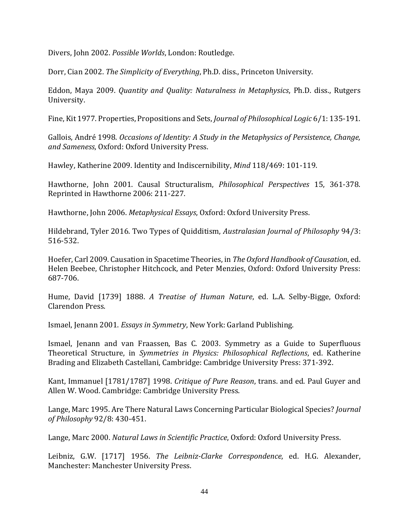Divers, John 2002. *Possible Worlds*, London: Routledge.

Dorr, Cian 2002. *The Simplicity of Everything*, Ph.D. diss., Princeton University.

Eddon, Maya 2009. *Quantity and Quality: Naturalness in Metaphysics*, Ph.D. diss., Rutgers University.

Fine, Kit 1977. Properties, Propositions and Sets, *Journal of Philosophical Logic* 6/1: 135-191.

Gallois, André 1998. *Occasions of Identity: A Study in the Metaphysics of Persistence, Change, and Sameness*, Oxford: Oxford University Press.

Hawley, Katherine 2009. Identity and Indiscernibility, *Mind* 118/469: 101-119.

Hawthorne, John 2001. Causal Structuralism, *Philosophical Perspectives* 15, 361-378. Reprinted in Hawthorne 2006: 211-227.

Hawthorne, John 2006. *Metaphysical Essays*, Oxford: Oxford University Press.

Hildebrand, Tyler 2016. Two Types of Quidditism, *Australasian Journal of Philosophy* 94/3: 516-532.

Hoefer, Carl 2009. Causation in Spacetime Theories, in *The Oxford Handbook of Causation*, ed. Helen Beebee, Christopher Hitchcock, and Peter Menzies, Oxford: Oxford University Press: 687-706.

Hume, David [1739] 1888. *A Treatise of Human Nature*, ed. L.A. Selby-Bigge, Oxford: Clarendon Press.

Ismael, Jenann 2001. *Essays in Symmetry*, New York: Garland Publishing.

Ismael, Jenann and van Fraassen, Bas C. 2003. Symmetry as a Guide to Superfluous Theoretical Structure, in *Symmetries in Physics: Philosophical Reflections*, ed. Katherine Brading and Elizabeth Castellani, Cambridge: Cambridge University Press: 371-392.

Kant, Immanuel [1781/1787] 1998. *Critique of Pure Reason*, trans. and ed. Paul Guyer and Allen W. Wood. Cambridge: Cambridge University Press.

Lange, Marc 1995. Are There Natural Laws Concerning Particular Biological Species? *Journal of Philosophy* 92/8: 430-451.

Lange, Marc 2000. *Natural Laws in Scientific Practice*, Oxford: Oxford University Press.

Leibniz, G.W. [1717] 1956. *The Leibniz-Clarke Correspondence*, ed. H.G. Alexander, Manchester: Manchester University Press.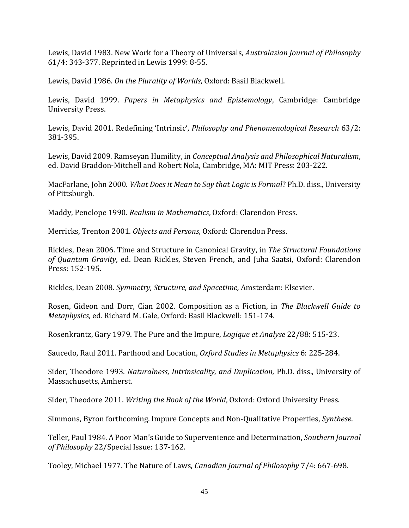Lewis, David 1983. New Work for a Theory of Universals, *Australasian Journal of Philosophy* 61/4: 343-377. Reprinted in Lewis 1999: 8-55.

Lewis, David 1986. *On the Plurality of Worlds*, Oxford: Basil Blackwell.

Lewis, David 1999. *Papers in Metaphysics and Epistemology*, Cambridge: Cambridge University Press.

Lewis, David 2001. Redefining 'Intrinsic', *Philosophy and Phenomenological Research* 63/2: 381-395.

Lewis, David 2009. Ramseyan Humility, in *Conceptual Analysis and Philosophical Naturalism*, ed. David Braddon-Mitchell and Robert Nola, Cambridge, MA: MIT Press: 203-222.

MacFarlane, John 2000. *What Does it Mean to Say that Logic is Formal*? Ph.D. diss., University of Pittsburgh.

Maddy, Penelope 1990. *Realism in Mathematics*, Oxford: Clarendon Press.

Merricks, Trenton 2001. *Objects and Persons*, Oxford: Clarendon Press.

Rickles, Dean 2006. Time and Structure in Canonical Gravity, in *The Structural Foundations of Quantum Gravity*, ed. Dean Rickles, Steven French, and Juha Saatsi, Oxford: Clarendon Press: 152-195.

Rickles, Dean 2008. *Symmetry, Structure, and Spacetime,* Amsterdam: Elsevier.

Rosen, Gideon and Dorr, Cian 2002. Composition as a Fiction, in *The Blackwell Guide to Metaphysics*, ed. Richard M. Gale, Oxford: Basil Blackwell: 151-174.

Rosenkrantz, Gary 1979. The Pure and the Impure, *Logique et Analyse* 22/88: 515-23.

Saucedo, Raul 2011. Parthood and Location, *Oxford Studies in Metaphysics* 6: 225-284.

Sider, Theodore 1993. *Naturalness, Intrinsicality, and Duplication,* Ph.D. diss., University of Massachusetts, Amherst.

Sider, Theodore 2011. *Writing the Book of the World*, Oxford: Oxford University Press.

Simmons, Byron forthcoming. Impure Concepts and Non-Qualitative Properties, *Synthese*.

Teller, Paul 1984. A Poor Man's Guide to Supervenience and Determination, *Southern Journal of Philosophy* 22/Special Issue: 137-162.

Tooley, Michael 1977. The Nature of Laws, *Canadian Journal of Philosophy* 7/4: 667-698.